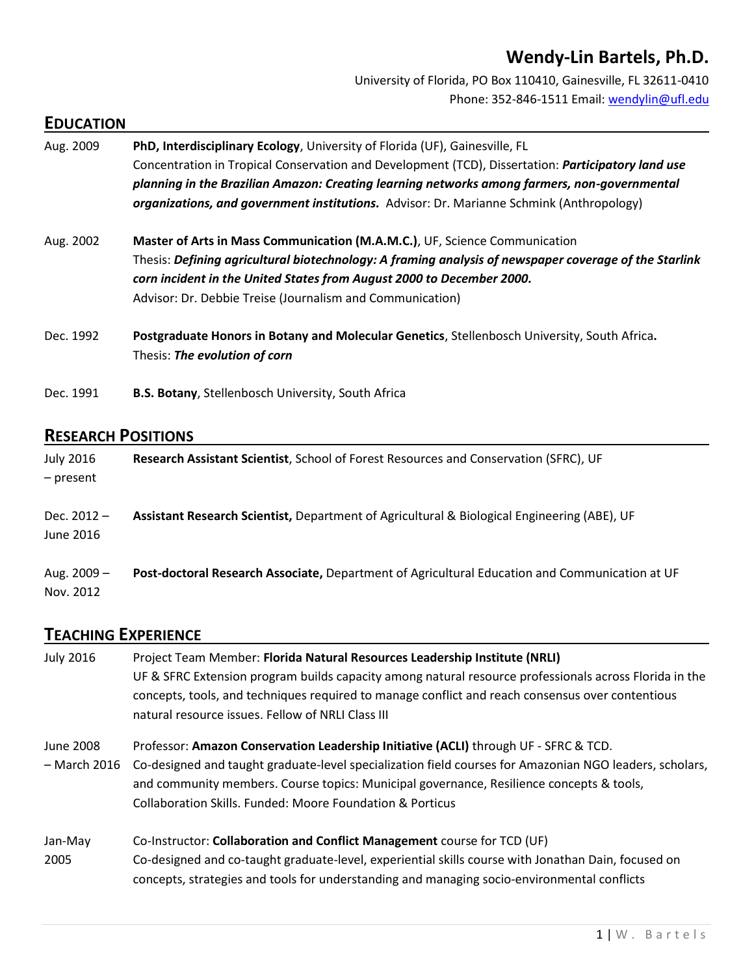# **Wendy-Lin Bartels, Ph.D.**

University of Florida, PO Box 110410, Gainesville, FL 32611-0410 Phone: 352-846-1511 Email: [wendylin@ufl.edu](mailto:wendylin@ufl.edu)

### **EDUCATION**

| Aug. 2009 | PhD, Interdisciplinary Ecology, University of Florida (UF), Gainesville, FL<br>Concentration in Tropical Conservation and Development (TCD), Dissertation: Participatory land use<br>planning in the Brazilian Amazon: Creating learning networks among farmers, non-governmental<br><b>organizations, and government institutions.</b> Advisor: Dr. Marianne Schmink (Anthropology) |
|-----------|--------------------------------------------------------------------------------------------------------------------------------------------------------------------------------------------------------------------------------------------------------------------------------------------------------------------------------------------------------------------------------------|
| Aug. 2002 | Master of Arts in Mass Communication (M.A.M.C.), UF, Science Communication<br>Thesis: Defining agricultural biotechnology: A framing analysis of newspaper coverage of the Starlink<br>corn incident in the United States from August 2000 to December 2000.<br>Advisor: Dr. Debbie Treise (Journalism and Communication)                                                            |
| Dec. 1992 | Postgraduate Honors in Botany and Molecular Genetics, Stellenbosch University, South Africa.<br>Thesis: The evolution of corn                                                                                                                                                                                                                                                        |
| Dec. 1991 | B.S. Botany, Stellenbosch University, South Africa                                                                                                                                                                                                                                                                                                                                   |

### **RESEARCH POSITIONS**

| <b>July 2016</b><br>- present | Research Assistant Scientist, School of Forest Resources and Conservation (SFRC), UF           |
|-------------------------------|------------------------------------------------------------------------------------------------|
| Dec. $2012 -$<br>June 2016    | Assistant Research Scientist, Department of Agricultural & Biological Engineering (ABE), UF    |
| Aug. $2009 -$<br>Nov. 2012    | Post-doctoral Research Associate, Department of Agricultural Education and Communication at UF |

# **TEACHING EXPERIENCE**

| <b>July 2016</b> | Project Team Member: Florida Natural Resources Leadership Institute (NRLI)                              |
|------------------|---------------------------------------------------------------------------------------------------------|
|                  | UF & SFRC Extension program builds capacity among natural resource professionals across Florida in the  |
|                  | concepts, tools, and techniques required to manage conflict and reach consensus over contentious        |
|                  | natural resource issues. Fellow of NRLI Class III                                                       |
| June 2008        | Professor: Amazon Conservation Leadership Initiative (ACLI) through UF - SFRC & TCD.                    |
| - March 2016     | Co-designed and taught graduate-level specialization field courses for Amazonian NGO leaders, scholars, |
|                  | and community members. Course topics: Municipal governance, Resilience concepts & tools,                |
|                  | <b>Collaboration Skills. Funded: Moore Foundation &amp; Porticus</b>                                    |
| Jan-May          | Co-Instructor: Collaboration and Conflict Management course for TCD (UF)                                |
| 2005             | Co-designed and co-taught graduate-level, experiential skills course with Jonathan Dain, focused on     |
|                  | concepts, strategies and tools for understanding and managing socio-environmental conflicts             |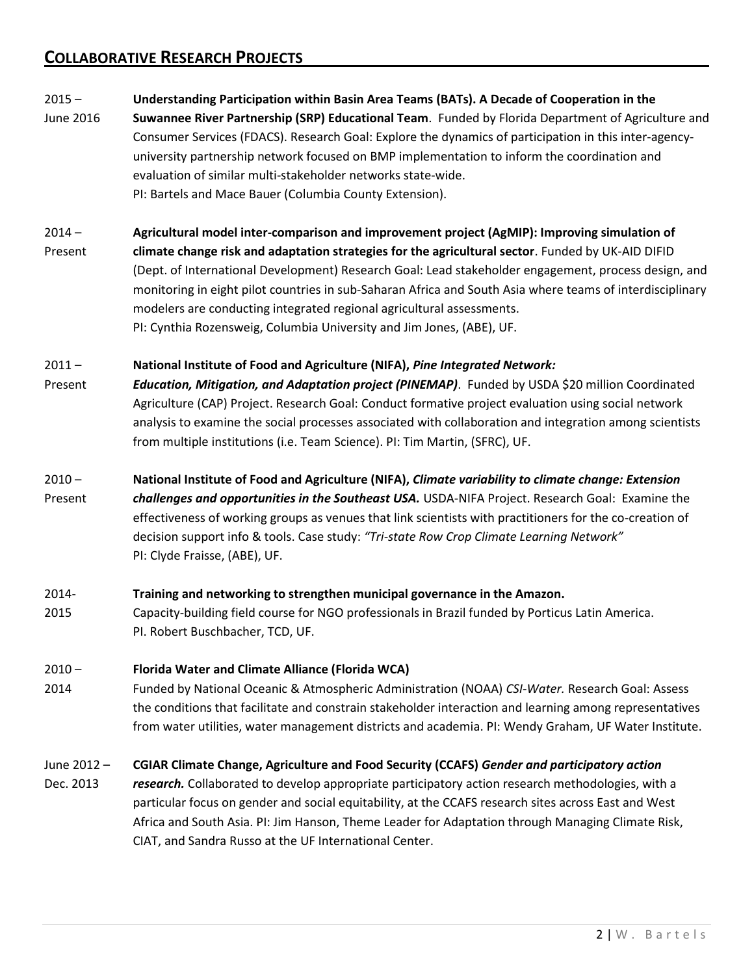# **COLLABORATIVE RESEARCH PROJECTS**

#### 2015 – **Understanding Participation within Basin Area Teams (BATs). A Decade of Cooperation in the**

- June 2016 **Suwannee River Partnership (SRP) Educational Team**. Funded by Florida Department of Agriculture and Consumer Services (FDACS). Research Goal: Explore the dynamics of participation in this inter-agencyuniversity partnership network focused on BMP implementation to inform the coordination and evaluation of similar multi-stakeholder networks state-wide. PI: Bartels and Mace Bauer (Columbia County Extension).
- 2014 **Agricultural model inter-comparison and improvement project (AgMIP): Improving simulation of** Present **climate change risk and adaptation strategies for the agricultural sector**. Funded by UK-AID DIFID (Dept. of International Development) Research Goal: Lead stakeholder engagement, process design, and monitoring in eight pilot countries in sub-Saharan Africa and South Asia where teams of interdisciplinary modelers are conducting integrated regional agricultural assessments. PI: Cynthia Rozensweig, Columbia University and Jim Jones, (ABE), UF.

#### 2011 – **National Institute of Food and Agriculture (NIFA),** *Pine Integrated Network:*

- Present *Education, Mitigation, and Adaptation project (PINEMAP)*. Funded by USDA \$20 million Coordinated Agriculture (CAP) Project. Research Goal: Conduct formative project evaluation using social network analysis to examine the social processes associated with collaboration and integration among scientists from multiple institutions (i.e. Team Science). PI: Tim Martin, (SFRC), UF.
- 2010 **National Institute of Food and Agriculture (NIFA),** *Climate variability to climate change: Extension*

Present *challenges and opportunities in the Southeast USA.* USDA-NIFA Project. Research Goal: Examine the effectiveness of working groups as venues that link scientists with practitioners for the co-creation of decision support info & tools. Case study: *"Tri-state Row Crop Climate Learning Network"* PI: Clyde Fraisse, (ABE), UF.

#### 2014- **Training and networking to strengthen municipal governance in the Amazon.**

2015 Capacity-building field course for NGO professionals in Brazil funded by Porticus Latin America. PI. Robert Buschbacher, TCD, UF.

#### 2010 – **Florida Water and Climate Alliance (Florida WCA)**

2014 Funded by National Oceanic & Atmospheric Administration (NOAA) *CSI-Water.* Research Goal: Assess the conditions that facilitate and constrain stakeholder interaction and learning among representatives from water utilities, water management districts and academia. PI: Wendy Graham, UF Water Institute.

#### June 2012 – **CGIAR Climate Change, Agriculture and Food Security (CCAFS)** *Gender and participatory action*

Dec. 2013 *research.* Collaborated to develop appropriate participatory action research methodologies, with a particular focus on gender and social equitability, at the CCAFS research sites across East and West Africa and South Asia. PI: Jim Hanson, Theme Leader for Adaptation through Managing Climate Risk, CIAT, and Sandra Russo at the UF International Center.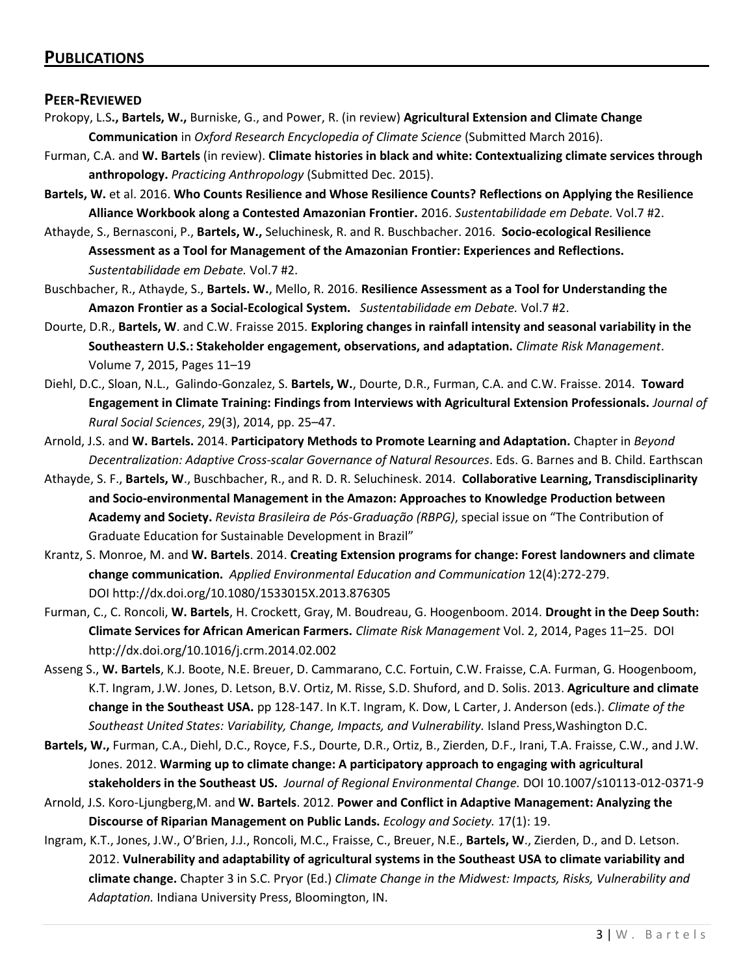### **PUBLICATIONS**

#### **PEER-REVIEWED**

- Prokopy, L.S**., Bartels, W.,** Burniske, G., and Power, R. (in review) **Agricultural Extension and Climate Change Communication** in *Oxford Research Encyclopedia of Climate Science* (Submitted March 2016).
- Furman, C.A. and **W. Bartels** (in review). **Climate histories in black and white: Contextualizing climate services through anthropology.** *Practicing Anthropology* (Submitted Dec. 2015).
- **Bartels, W.** et al. 2016. **Who Counts Resilience and Whose Resilience Counts? Reflections on Applying the Resilience Alliance Workbook along a Contested Amazonian Frontier.** 2016. *Sustentabilidade em Debate.* Vol.7 #2.
- Athayde, S., Bernasconi, P., **Bartels, W.,** Seluchinesk, R. and R. Buschbacher. 2016. **Socio-ecological Resilience Assessment as a Tool for Management of the Amazonian Frontier: Experiences and Reflections.** *Sustentabilidade em Debate.* Vol.7 #2.
- Buschbacher, R., Athayde, S., **Bartels. W.**, Mello, R. 2016. **Resilience Assessment as a Tool for Understanding the Amazon Frontier as a Social-Ecological System.** *Sustentabilidade em Debate.* Vol.7 #2.
- Dourte, D.R., **Bartels, W**. and C.W. Fraisse 2015. **Exploring changes in rainfall intensity and seasonal variability in the Southeastern U.S.: Stakeholder engagement, observations, and adaptation.** *Climate Risk Management*. Volume 7, 2015, Pages 11–19
- Diehl, D.C., Sloan, N.L., Galindo-Gonzalez, S. **Bartels, W.**, Dourte, D.R., Furman, C.A. and C.W. Fraisse. 2014. **Toward Engagement in Climate Training: Findings from Interviews with Agricultural Extension Professionals.** *Journal of Rural Social Sciences*, 29(3), 2014, pp. 25–47.
- Arnold, J.S. and **W. Bartels.** 2014. **Participatory Methods to Promote Learning and Adaptation.** Chapter in *Beyond Decentralization: Adaptive Cross-scalar Governance of Natural Resources*. Eds. G. Barnes and B. Child. Earthscan
- Athayde, S. F., **Bartels, W**., Buschbacher, R., and R. D. R. Seluchinesk. 2014. **Collaborative Learning, Transdisciplinarity and Socio-environmental Management in the Amazon: Approaches to Knowledge Production between Academy and Society.** *Revista Brasileira de Pós-Graduação (RBPG)*, special issue on "The Contribution of Graduate Education for Sustainable Development in Brazil"
- Krantz, S. Monroe, M. and **W. Bartels**. 2014. **Creating Extension programs for change: Forest landowners and climate change communication.** *Applied Environmental Education and Communication* 12(4):272-279. DOI http://dx.doi.org/10.1080/1533015X.2013.876305
- Furman, C., C. Roncoli, **W. Bartels**, H. Crockett, Gray, M. Boudreau, G. Hoogenboom. 2014. **Drought in the Deep South: Climate Services for African American Farmers.** *Climate Risk Management* Vol. 2, 2014, Pages 11–25. DOI http://dx.doi.org/10.1016/j.crm.2014.02.002
- Asseng S., **W. Bartels**, K.J. Boote, N.E. Breuer, D. Cammarano, C.C. Fortuin, C.W. Fraisse, C.A. Furman, G. Hoogenboom, K.T. Ingram, J.W. Jones, D. Letson, B.V. Ortiz, M. Risse, S.D. Shuford, and D. Solis. 2013. **Agriculture and climate change in the Southeast USA.** pp 128-147. In K.T. Ingram, K. Dow, L Carter, J. Anderson (eds.). *Climate of the Southeast United States: Variability, Change, Impacts, and Vulnerability.* Island Press,Washington D.C.
- **Bartels, W.,** Furman, C.A., Diehl, D.C., Royce, F.S., Dourte, D.R., Ortiz, B., Zierden, D.F., Irani, T.A. Fraisse, C.W., and J.W. Jones. 2012. **Warming up to climate change: A participatory approach to engaging with agricultural stakeholders in the Southeast US.** *Journal of Regional Environmental Change.* DOI 10.1007/s10113-012-0371-9
- Arnold, J.S. Koro-Ljungberg,M. and **W. Bartels**. 2012. **Power and Conflict in Adaptive Management: Analyzing the Discourse of Riparian Management on Public Lands.** *Ecology and Society.* 17(1): 19.
- Ingram, K.T., Jones, J.W., O'Brien, J.J., Roncoli, M.C., Fraisse, C., Breuer, N.E., **Bartels, W**., Zierden, D., and D. Letson. 2012. **Vulnerability and adaptability of agricultural systems in the Southeast USA to climate variability and climate change.** Chapter 3 in S.C. Pryor (Ed.) *Climate Change in the Midwest: Impacts, Risks, Vulnerability and Adaptation.* Indiana University Press, Bloomington, IN.